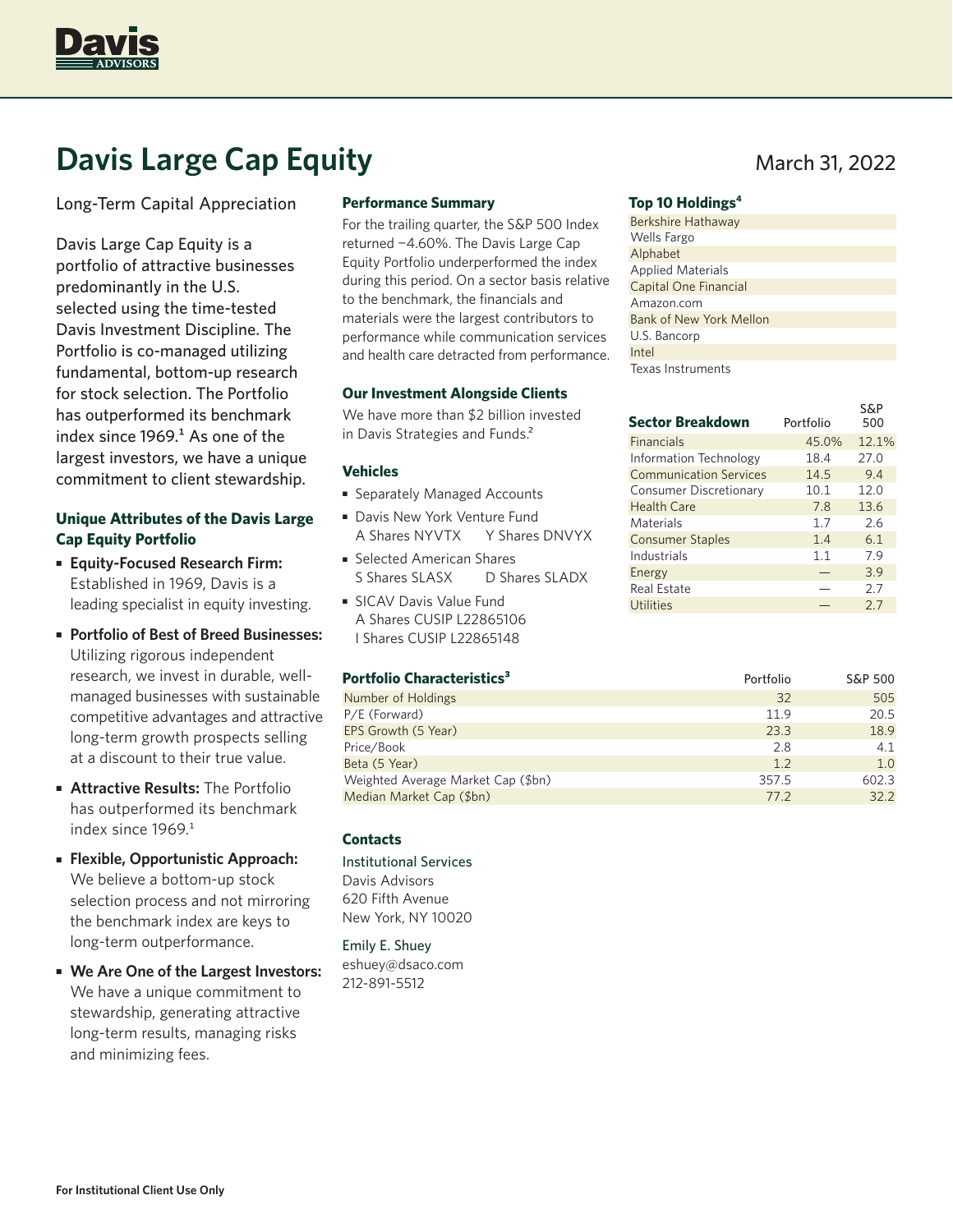

# **Davis Large Cap Equity** March 31, 2022

Long-Term Capital Appreciation

Davis Large Cap Equity is a portfolio of attractive businesses predominantly in the U.S. selected using the time-tested Davis Investment Discipline. The Portfolio is co-managed utilizing fundamental, bottom-up research for stock selection. The Portfolio has outperformed its benchmark index since  $1969<sup>1</sup>$  As one of the largest investors, we have a unique commitment to client stewardship.

# **Unique Attributes of the Davis Large Cap Equity Portfolio**

- **Equity-Focused Research Firm:** Established in 1969, Davis is a leading specialist in equity investing.
- **Portfolio of Best of Breed Businesses:** Utilizing rigorous independent research, we invest in durable, wellmanaged businesses with sustainable competitive advantages and attractive long-term growth prospects selling at a discount to their true value.
- **Attractive Results:** The Portfolio has outperformed its benchmark index since 1969.<sup>1</sup>
- **Flexible, Opportunistic Approach:** We believe a bottom-up stock selection process and not mirroring the benchmark index are keys to long-term outperformance.
- **We Are One of the Largest Investors:** We have a unique commitment to stewardship, generating attractive long-term results, managing risks and minimizing fees.

### **Performance Summary**

For the trailing quarter, the S&P 500 Index returned −4.60%. The Davis Large Cap Equity Portfolio underperformed the index during this period. On a sector basis relative to the benchmark, the financials and materials were the largest contributors to performance while communication services and health care detracted from performance.

#### **Our Investment Alongside Clients**

We have more than \$2 billion invested in Davis Strategies and Funds.<sup>2</sup>

### **Vehicles**

- Separately Managed Accounts
- Davis New York Venture Fund A Shares NYVTX Y Shares DNVYX
- Selected American Shares S Shares SLASX D Shares SLADX
- SICAV Davis Value Fund A Shares CUSIP L22865106 I Shares CUSIP L22865148

#### **Portfolio Characteristics<sup>3</sup> 2001 12:30 Portfolio** S&P 500

|                                    | .     |       |
|------------------------------------|-------|-------|
| Number of Holdings                 | 32    | 505   |
| P/E (Forward)                      | 11.9  | 20.5  |
| EPS Growth (5 Year)                | 23.3  | 18.9  |
| Price/Book                         | 2.8   | 4.1   |
| Beta (5 Year)                      | 1.2   | 1.0   |
| Weighted Average Market Cap (\$bn) | 357.5 | 602.3 |
| Median Market Cap (\$bn)           | 77.2  | 32.2  |

## **Contacts**

Institutional Services Davis Advisors 620 Fifth Avenue New York, NY 10020

# Emily E. Shuey

eshuey@dsaco.com 212-891-5512

#### **Top 10 Holdings4**

| Berkshire Hathaway       |
|--------------------------|
| <b>Wells Fargo</b>       |
| Alphabet                 |
| <b>Applied Materials</b> |
| Capital One Financial    |
| Amazon.com               |
| Bank of New York Mellon  |
| U.S. Bancorp             |
| Intel                    |
| Texas Instruments        |

| <b>Sector Breakdown</b>       | Portfolio | <b>S&amp;P</b><br>500 |
|-------------------------------|-----------|-----------------------|
| <b>Financials</b>             | 45.0%     | 12.1%                 |
| <b>Information Technology</b> | 18.4      | 27.0                  |
| <b>Communication Services</b> | 14.5      | 9.4                   |
| Consumer Discretionary        | 10.1      | 12.0                  |
| <b>Health Care</b>            | 7.8       | 13.6                  |
| Materials                     | 1.7       | 2.6                   |
| <b>Consumer Staples</b>       | 1.4       | 6.1                   |
| Industrials                   | 1.1       | 7.9                   |
| Energy                        |           | 3.9                   |
| <b>Real Estate</b>            |           | 2.7                   |
| Utilities                     |           | 2.7                   |